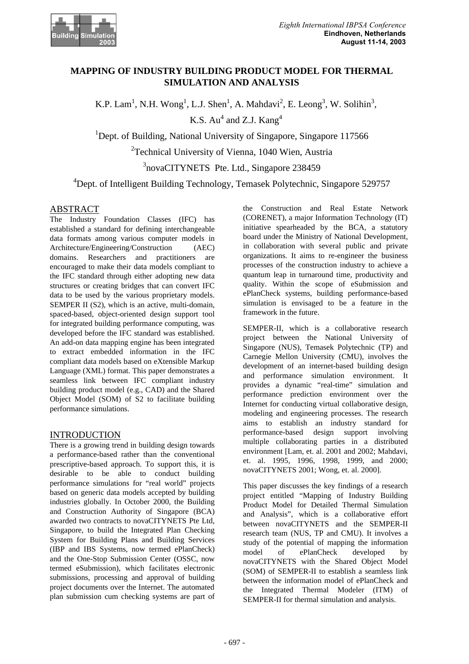

# **MAPPING OF INDUSTRY BUILDING PRODUCT MODEL FOR THERMAL SIMULATION AND ANALYSIS**

K.P. Lam<sup>1</sup>, N.H. Wong<sup>1</sup>, L.J. Shen<sup>1</sup>, A. Mahdavi<sup>2</sup>, E. Leong<sup>3</sup>, W. Solihin<sup>3</sup>, K.S.  $Au^4$  and Z.J.  $Kang^4$ 

<sup>1</sup>Dept. of Building, National University of Singapore, Singapore 117566

<sup>2</sup>Technical University of Vienna, 1040 Wien, Austria

<sup>3</sup>novaCITYNETS Pte. Ltd., Singapore 238459

<sup>4</sup>Dept. of Intelligent Building Technology, Temasek Polytechnic, Singapore 529757

## ABSTRACT

The Industry Foundation Classes (IFC) has established a standard for defining interchangeable data formats among various computer models in Architecture/Engineering/Construction (AEC) domains. Researchers and practitioners are encouraged to make their data models compliant to the IFC standard through either adopting new data structures or creating bridges that can convert IFC data to be used by the various proprietary models. SEMPER II (S2), which is an active, multi-domain, spaced-based, object-oriented design support tool for integrated building performance computing, was developed before the IFC standard was established. An add-on data mapping engine has been integrated to extract embedded information in the IFC compliant data models based on eXtensible Markup Language (XML) format. This paper demonstrates a seamless link between IFC compliant industry building product model (e.g., CAD) and the Shared Object Model (SOM) of S2 to facilitate building performance simulations.

## INTRODUCTION

There is a growing trend in building design towards a performance-based rather than the conventional prescriptive-based approach. To support this, it is desirable to be able to conduct building performance simulations for "real world" projects based on generic data models accepted by building industries globally. In October 2000, the Building and Construction Authority of Singapore (BCA) awarded two contracts to novaCITYNETS Pte Ltd, Singapore, to build the Integrated Plan Checking System for Building Plans and Building Services (IBP and IBS Systems, now termed ePlanCheck) and the One-Stop Submission Center (OSSC, now termed eSubmission), which facilitates electronic submissions, processing and approval of building project documents over the Internet. The automated plan submission cum checking systems are part of the Construction and Real Estate Network (CORENET), a major Information Technology (IT) initiative spearheaded by the BCA, a statutory board under the Ministry of National Development, in collaboration with several public and private organizations. It aims to re-engineer the business processes of the construction industry to achieve a quantum leap in turnaround time, productivity and quality. Within the scope of eSubmission and ePlanCheck systems, building performance-based simulation is envisaged to be a feature in the framework in the future.

SEMPER-II, which is a collaborative research project between the National University of Singapore (NUS), Temasek Polytechnic (TP) and Carnegie Mellon University (CMU), involves the development of an internet-based building design and performance simulation environment. It provides a dynamic "real-time" simulation and performance prediction environment over the Internet for conducting virtual collaborative design, modeling and engineering processes. The research aims to establish an industry standard for performance-based design support involving multiple collaborating parties in a distributed environment [Lam, et. al. 2001 and 2002; Mahdavi, et. al. 1995, 1996, 1998, 1999, and 2000; novaCITYNETS 2001; Wong, et. al. 2000].

This paper discusses the key findings of a research project entitled "Mapping of Industry Building Product Model for Detailed Thermal Simulation and Analysis", which is a collaborative effort between novaCITYNETS and the SEMPER-II research team (NUS, TP and CMU). It involves a study of the potential of mapping the information model of ePlanCheck developed by novaCITYNETS with the Shared Object Model (SOM) of SEMPER-II to establish a seamless link between the information model of ePlanCheck and the Integrated Thermal Modeler (ITM) of SEMPER-II for thermal simulation and analysis.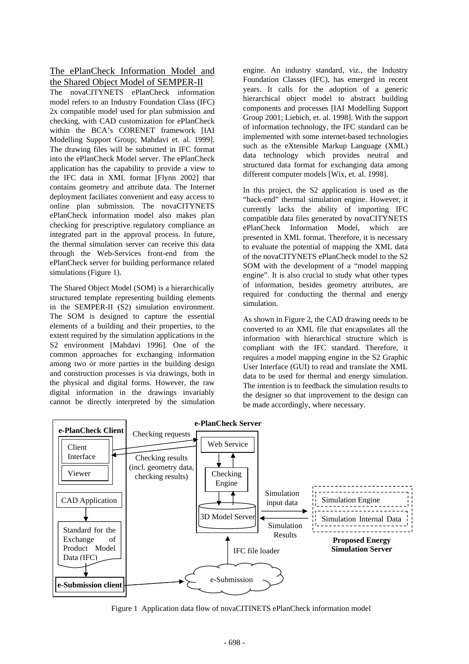The ePlanCheck Information Model and the Shared Object Model of SEMPER-II

The novaCITYNETS ePlanCheck information model refers to an Industry Foundation Class (IFC) 2x compatible model used for plan submission and checking, with CAD customization for ePlanCheck within the BCA's CORENET framework [IAI Modelling Support Group; Mahdavi et. al. 1999]. The drawing files will be submitted in IFC format into the ePlanCheck Model server. The ePlanCheck application has the capability to provide a view to the IFC data in XML format [Flynn 2002] that contains geometry and attribute data. The Internet deployment faciliates convenient and easy access to online plan submission. The novaCITYNETS ePlanCheck information model also makes plan checking for prescriptive regulatory compliance an integrated part in the approval process. In future, the thermal simulation server can receive this data through the Web-Services front-end from the ePlanCheck server for building performance related simulations (Figure 1).

The Shared Object Model (SOM) is a hierarchically structured template representing building elements in the SEMPER-II (S2) simulation environment. The SOM is designed to capture the essential elements of a building and their properties, to the extent required by the simulation applications in the S2 environment [Mahdavi 1996]. One of the common approaches for exchanging information among two or more parties in the building design and construction processes is via drawings, both in the physical and digital forms. However, the raw digital information in the drawings invariably cannot be directly interpreted by the simulation

engine. An industry standard, viz., the Industry Foundation Classes (IFC), has emerged in recent years. It calls for the adoption of a generic hierarchical object model to abstract building components and processes [IAI Modelling Support Group 2001; Liebich, et. al. 1998]. With the support of information technology, the IFC standard can be implemented with some internet-based technologies such as the eXtensible Markup Language (XML) data technology which provides neutral and structured data format for exchanging data among different computer models [Wix, et. al. 1998].

In this project, the S2 application is used as the "back-end" thermal simulation engine. However, it currently lacks the ability of importing IFC compatible data files generated by novaCITYNETS ePlanCheck Information Model, which are presented in XML format. Therefore, it is necessary to evaluate the potential of mapping the XML data of the novaCITYNETS ePlanCheck model to the S2 SOM with the development of a "model mapping engine". It is also crucial to study what other types of information, besides geometry attributes, are required for conducting the thermal and energy simulation.

As shown in Figure 2, the CAD drawing needs to be converted to an XML file that encapsulates all the information with hierarchical structure which is compliant with the IFC standard. Therefore, it requires a model mapping engine in the S2 Graphic User Interface (GUI) to read and translate the XML data to be used for thermal and energy simulation. The intention is to feedback the simulation results to the designer so that improvement to the design can be made accordingly, where necessary.



Figure 1 Application data flow of novaCITINETS ePlanCheck information model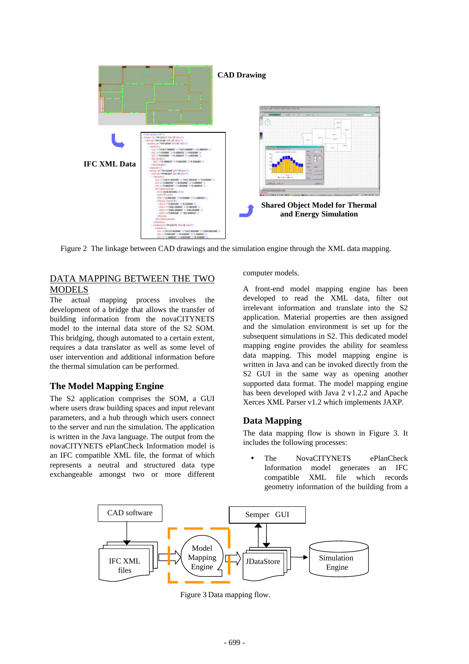

Figure 2 The linkage between CAD drawings and the simulation engine through the XML data mapping.

# DATA MAPPING BETWEEN THE TWO MODELS

The actual mapping process involves the development of a bridge that allows the transfer of building information from the novaCITYNETS model to the internal data store of the S2 SOM. This bridging, though automated to a certain extent, requires a data translator as well as some level of user intervention and additional information before the thermal simulation can be performed.

# **The Model Mapping Engine**

The S2 application comprises the SOM, a GUI where users draw building spaces and input relevant parameters, and a hub through which users connect to the server and run the simulation. The application is written in the Java language. The output from the novaCITYNETS ePlanCheck Information model is an IFC compatible XML file, the format of which represents a neutral and structured data type exchangeable amongst two or more different

computer models.

A front-end model mapping engine has been developed to read the XML data, filter out irrelevant information and translate into the S2 application. Material properties are then assigned and the simulation environment is set up for the subsequent simulations in S2. This dedicated model mapping engine provides the ability for seamless data mapping. This model mapping engine is written in Java and can be invoked directly from the S<sub>2</sub> GUI in the same way as opening another supported data format. The model mapping engine has been developed with Java 2 v1.2.2 and Apache Xerces XML Parser v1.2 which implements JAXP.

# **Data Mapping**

The data mapping flow is shown in Figure 3. It includes the following processes:

The NovaCITYNETS ePlanCheck Information model generates an IFC compatible XML file which records geometry information of the building from a



Figure 3 Data mapping flow.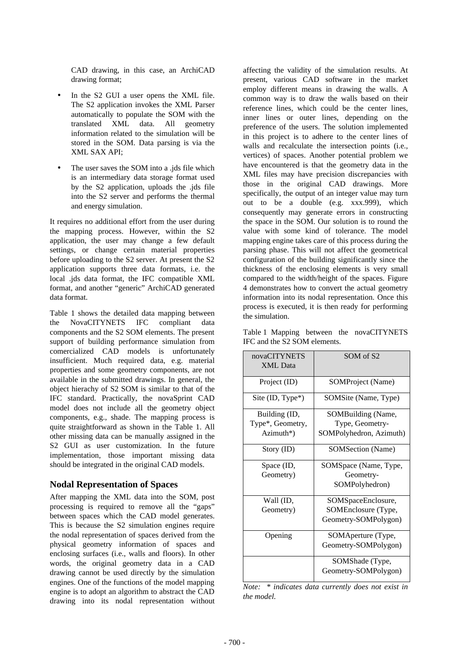CAD drawing, in this case, an ArchiCAD drawing format;

- In the S2 GUI a user opens the XML file. The S2 application invokes the XML Parser automatically to populate the SOM with the translated XML data. All geometry information related to the simulation will be stored in the SOM. Data parsing is via the XML SAX API;
- The user saves the SOM into a .jds file which is an intermediary data storage format used by the S2 application, uploads the .jds file into the S2 server and performs the thermal and energy simulation.

It requires no additional effort from the user during the mapping process. However, within the S2 application, the user may change a few default settings, or change certain material properties before uploading to the S2 server. At present the S2 application supports three data formats, i.e. the local .jds data format, the IFC compatible XML format, and another "generic" ArchiCAD generated data format.

Table 1 shows the detailed data mapping between the NovaCITYNETS IFC compliant data components and the S2 SOM elements. The present support of building performance simulation from comercialized CAD models is unfortunately insufficient. Much required data, e.g. material properties and some geometry components, are not available in the submitted drawings. In general, the object hierachy of S2 SOM is similar to that of the IFC standard. Practically, the novaSprint CAD model does not include all the geometry object components, e.g., shade. The mapping process is quite straightforward as shown in the Table 1. All other missing data can be manually assigned in the S<sub>2</sub> GUI as user customization. In the future implementation, those important missing data should be integrated in the original CAD models.

### **Nodal Representation of Spaces**

After mapping the XML data into the SOM, post processing is required to remove all the "gaps" between spaces which the CAD model generates. This is because the S2 simulation engines require the nodal representation of spaces derived from the physical geometry information of spaces and enclosing surfaces (i.e., walls and floors). In other words, the original geometry data in a CAD drawing cannot be used directly by the simulation engines. One of the functions of the model mapping engine is to adopt an algorithm to abstract the CAD drawing into its nodal representation without

affecting the validity of the simulation results. At present, various CAD software in the market employ different means in drawing the walls. A common way is to draw the walls based on their reference lines, which could be the center lines, inner lines or outer lines, depending on the preference of the users. The solution implemented in this project is to adhere to the center lines of walls and recalculate the intersection points (i.e., vertices) of spaces. Another potential problem we have encountered is that the geometry data in the XML files may have precision discrepancies with those in the original CAD drawings. More specifically, the output of an integer value may turn out to be a double (e.g. xxx.999), which consequently may generate errors in constructing the space in the SOM. Our solution is to round the value with some kind of tolerance. The model mapping engine takes care of this process during the parsing phase. This will not affect the geometrical configuration of the building significantly since the thickness of the enclosing elements is very small compared to the width/height of the spaces. Figure 4 demonstrates how to convert the actual geometry information into its nodal representation. Once this process is executed, it is then ready for performing the simulation.

|                              |  | Table 1 Mapping between the novaCITYNETS |
|------------------------------|--|------------------------------------------|
| IFC and the S2 SOM elements. |  |                                          |

| novaCITYNETS<br><b>XML</b> Data | SOM of S <sub>2</sub>   |  |  |  |
|---------------------------------|-------------------------|--|--|--|
| Project (ID)                    | SOMProject (Name)       |  |  |  |
| Site $(ID, Type^*)$             | SOMSite (Name, Type)    |  |  |  |
| Building (ID,                   | SOMBuilding (Name,      |  |  |  |
| Type*, Geometry,                | Type, Geometry-         |  |  |  |
| Azimuth*)                       | SOMPolyhedron, Azimuth) |  |  |  |
| Story (ID)                      | SOMSection (Name)       |  |  |  |
| Space (ID,                      | SOMSpace (Name, Type,   |  |  |  |
| Geometry)                       | Geometry-               |  |  |  |
|                                 | SOMPolyhedron)          |  |  |  |
| Wall (ID,                       | SOMSpaceEnclosure,      |  |  |  |
| Geometry)                       | SOMEnclosure (Type,     |  |  |  |
|                                 | Geometry-SOMPolygon)    |  |  |  |
| Opening                         | SOMAperture (Type,      |  |  |  |
|                                 | Geometry-SOMPolygon)    |  |  |  |
|                                 | SOMShade (Type,         |  |  |  |
|                                 | Geometry-SOMPolygon)    |  |  |  |

*Note: \* indicates data currently does not exist in the model.*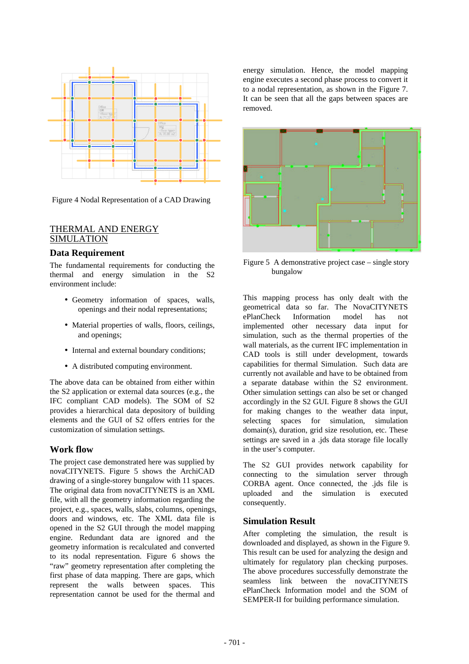

Figure 4 Nodal Representation of a CAD Drawing

### THERMAL AND ENERGY **SIMULATION**

### **Data Requirement**

The fundamental requirements for conducting the thermal and energy simulation in the S2 environment include:

- Geometry information of spaces, walls, openings and their nodal representations;
- Material properties of walls, floors, ceilings, and openings;
- Internal and external boundary conditions;
- A distributed computing environment.

The above data can be obtained from either within the S2 application or external data sources (e.g., the IFC compliant CAD models). The SOM of S2 provides a hierarchical data depository of building elements and the GUI of S2 offers entries for the customization of simulation settings.

### **Work flow**

The project case demonstrated here was supplied by novaCITYNETS. Figure 5 shows the ArchiCAD drawing of a single-storey bungalow with 11 spaces. The original data from novaCITYNETS is an XML file, with all the geometry information regarding the project, e.g., spaces, walls, slabs, columns, openings, doors and windows, etc. The XML data file is opened in the S2 GUI through the model mapping engine. Redundant data are ignored and the geometry information is recalculated and converted to its nodal representation. Figure 6 shows the "raw" geometry representation after completing the first phase of data mapping. There are gaps, which represent the walls between spaces. This representation cannot be used for the thermal and

energy simulation. Hence, the model mapping engine executes a second phase process to convert it to a nodal representation, as shown in the Figure 7. It can be seen that all the gaps between spaces are removed.



Figure 5 A demonstrative project case – single story bungalow

This mapping process has only dealt with the geometrical data so far. The NovaCITYNETS ePlanCheck Information model has not implemented other necessary data input for simulation, such as the thermal properties of the wall materials, as the current IFC implementation in CAD tools is still under development, towards capabilities for thermal Simulation. Such data are currently not available and have to be obtained from a separate database within the S2 environment. Other simulation settings can also be set or changed accordingly in the S2 GUI. Figure 8 shows the GUI for making changes to the weather data input, selecting spaces for simulation, simulation domain(s), duration, grid size resolution, etc. These settings are saved in a .jds data storage file locally in the user's computer.

The S2 GUI provides network capability for connecting to the simulation server through CORBA agent. Once connected, the .jds file is uploaded and the simulation is executed consequently.

### **Simulation Result**

After completing the simulation, the result is downloaded and displayed, as shown in the Figure 9. This result can be used for analyzing the design and ultimately for regulatory plan checking purposes. The above procedures successfully demonstrate the seamless link between the novaCITYNETS ePlanCheck Information model and the SOM of SEMPER-II for building performance simulation.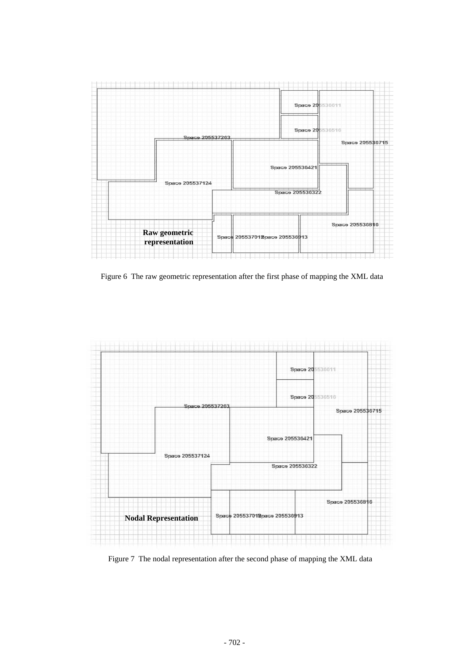

Figure 6 The raw geometric representation after the first phase of mapping the XML data



Figure 7 The nodal representation after the second phase of mapping the XML data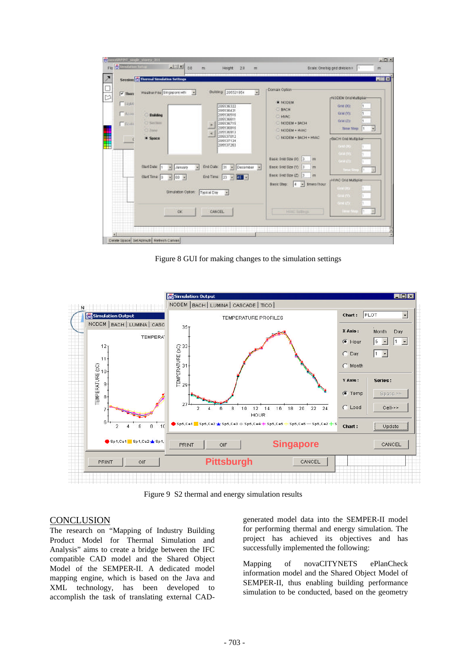| Fig. 25 Street allen Tartage                                        | $\frac{1}{2}$ $\frac{1}{2}$ $\frac{1}{2}$ $\frac{1}{2}$ $\frac{1}{2}$ $\frac{1}{2}$ $\frac{1}{2}$ $\frac{1}{2}$ $\frac{1}{2}$ $\frac{1}{2}$ $\frac{1}{2}$ $\frac{1}{2}$ $\frac{1}{2}$ $\frac{1}{2}$ $\frac{1}{2}$ $\frac{1}{2}$ $\frac{1}{2}$ $\frac{1}{2}$ $\frac{1}{2}$ $\frac{1}{2}$ $\frac{1}{2}$ $\frac{1}{2}$ | m                                                                                | Height<br>2.8                                                                                                                                                                                                             | m       |                                                                                                                                                                                                                                                                                             | Scale: One hig grid division =                                                                                                                                                                                                                                             | m                         |
|---------------------------------------------------------------------|---------------------------------------------------------------------------------------------------------------------------------------------------------------------------------------------------------------------------------------------------------------------------------------------------------------------|----------------------------------------------------------------------------------|---------------------------------------------------------------------------------------------------------------------------------------------------------------------------------------------------------------------------|---------|---------------------------------------------------------------------------------------------------------------------------------------------------------------------------------------------------------------------------------------------------------------------------------------------|----------------------------------------------------------------------------------------------------------------------------------------------------------------------------------------------------------------------------------------------------------------------------|---------------------------|
|                                                                     | <b>Session Co Thermal Simulation Settings</b>                                                                                                                                                                                                                                                                       |                                                                                  |                                                                                                                                                                                                                           |         |                                                                                                                                                                                                                                                                                             |                                                                                                                                                                                                                                                                            | $L = \mathbf{X}$          |
| $\sqrt{2}$ Then<br>$\Gamma$ Hd6<br>$F$ Acon<br>$\Gamma$ Ecell<br>÷H | weather Fire Singspore with<br>Building<br>C Section<br>C200<br><b>E Saace</b><br>Start Date: 1<br>эî<br>January<br>Start Time: 0<br>$-100 -$<br>Simulation Option:<br><b>OK</b>                                                                                                                                    | $\overline{\phantom{a}}$<br>End Data:<br>я<br>End Time:<br>Typical Day<br>CANCEL | <b>Building 205521854</b><br>205536322<br>205126421<br>205136516<br>205536611<br>205536715<br>205136816<br>205136913<br>205537012<br>205527124<br>205137263<br>131<br>· Determiner ·<br>$-151 -$<br>123<br>$\overline{z}$ | $\cdot$ | Domais Option<br><b>* NODEM</b><br><b>CHACH</b><br><b>EL HMO</b><br><b>C NODEM + BACH</b><br><b>ENODEM + HVAC</b><br>NODEM + BACH + HVAC<br>Basic Brid Size Do: 3<br>m<br>Basic Brid Size (Y): 3<br>m<br>Basic Srid Size (Z): 3<br>m<br>Basic Step:<br>$-1$ imes (hour<br>14<br>HWE latmost | HIGDEN GRIDMUS pier-<br>Grid (M):<br>Grid (Y):<br>07463231<br>Time Step<br><b>BACH Ond Maltiplier</b><br><b>GHI OG</b><br><b>CALIFANS</b><br><b>CATALOG</b><br><b>Tana Step</b><br>HVVC Ond Multiplier<br>Grid DG<br><b>CELL CO.</b><br><b>GHILD</b><br><b>Little Stat</b> | ×.<br>H.<br>٠<br>н.<br>٢. |
|                                                                     |                                                                                                                                                                                                                                                                                                                     |                                                                                  |                                                                                                                                                                                                                           |         |                                                                                                                                                                                                                                                                                             |                                                                                                                                                                                                                                                                            |                           |

Figure 8 GUI for making changes to the simulation settings



Figure 9 S2 thermal and energy simulation results

## **CONCLUSION**

The research on "Mapping of Industry Building Product Model for Thermal Simulation and Analysis" aims to create a bridge between the IFC compatible CAD model and the Shared Object Model of the SEMPER-II. A dedicated model mapping engine, which is based on the Java and XML technology, has been developed to accomplish the task of translating external CAD- generated model data into the SEMPER-II model for performing thermal and energy simulation. The project has achieved its objectives and has successfully implemented the following:

Mapping of novaCITYNETS ePlanCheck information model and the Shared Object Model of SEMPER-II, thus enabling building performance simulation to be conducted, based on the geometry